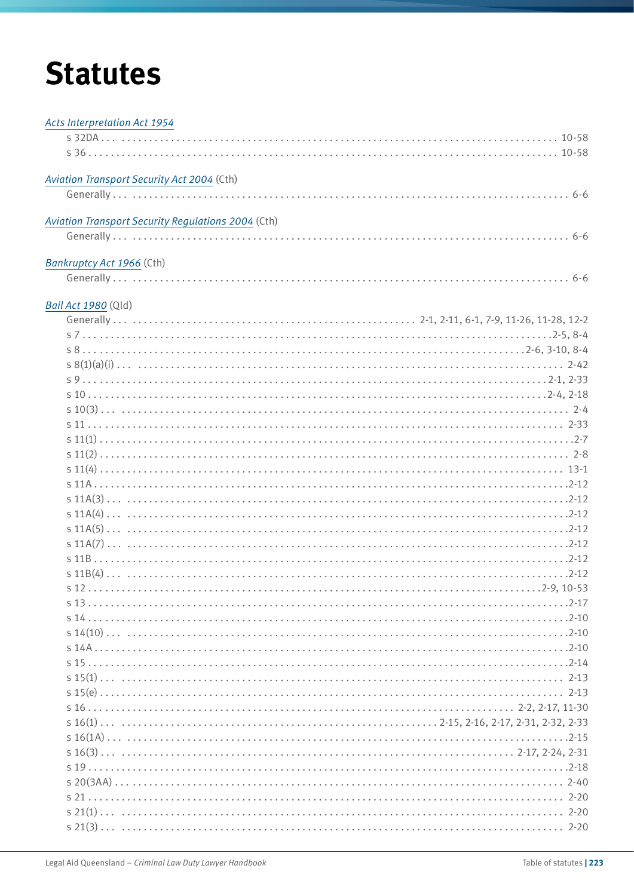# **Statutes**

| <b>Acts Interpretation Act 1954</b>                |
|----------------------------------------------------|
|                                                    |
|                                                    |
| Aviation Transport Security Act 2004 (Cth)         |
|                                                    |
| Aviation Transport Security Regulations 2004 (Cth) |
|                                                    |
| Bankruptcy Act 1966 (Cth)                          |
|                                                    |
| Bail Act 1980 (Qld)                                |
|                                                    |
|                                                    |
|                                                    |
|                                                    |
|                                                    |
|                                                    |
|                                                    |
|                                                    |
|                                                    |
|                                                    |
|                                                    |
|                                                    |
|                                                    |
|                                                    |
|                                                    |
|                                                    |
|                                                    |
|                                                    |
|                                                    |
|                                                    |
|                                                    |
|                                                    |
|                                                    |
|                                                    |
|                                                    |
|                                                    |
|                                                    |
|                                                    |
|                                                    |
|                                                    |
|                                                    |
|                                                    |
|                                                    |
|                                                    |
|                                                    |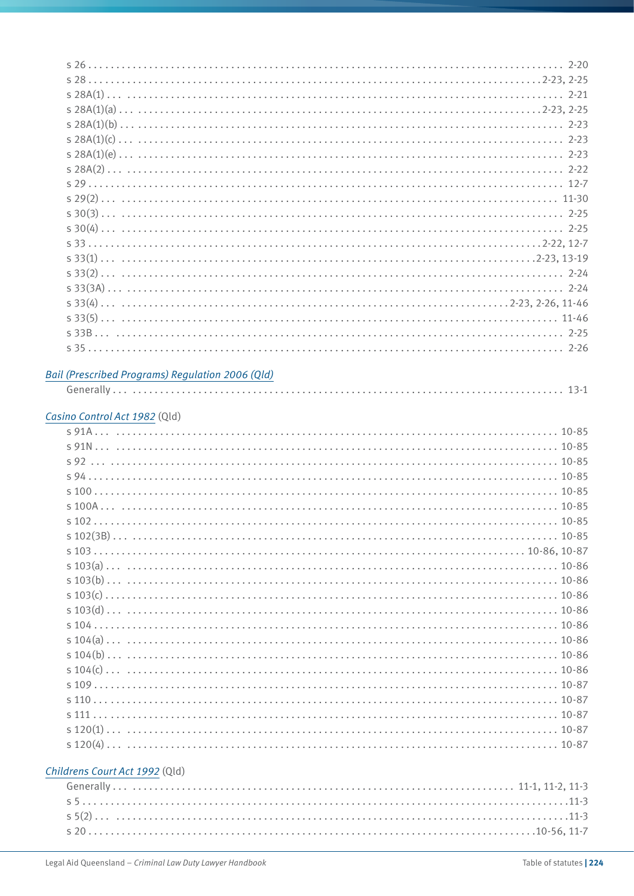|                                | Bail (Prescribed Programs) Regulation 2006 (Qld) |
|--------------------------------|--------------------------------------------------|
|                                |                                                  |
|                                |                                                  |
| Casino Control Act 1982 (Qld)  |                                                  |
|                                |                                                  |
|                                |                                                  |
|                                |                                                  |
|                                |                                                  |
|                                | s100                                             |
|                                |                                                  |
|                                |                                                  |
|                                |                                                  |
|                                |                                                  |
|                                |                                                  |
|                                |                                                  |
|                                |                                                  |
|                                |                                                  |
|                                |                                                  |
|                                |                                                  |
|                                |                                                  |
|                                |                                                  |
|                                |                                                  |
|                                |                                                  |
|                                |                                                  |
|                                |                                                  |
|                                |                                                  |
|                                |                                                  |
|                                |                                                  |
| Childrens Court Act 1992 (Qld) |                                                  |

s 5 . . . . 11-3 s 5(2) . . . . 11-3 s 20 . . . . 10-56, 11-7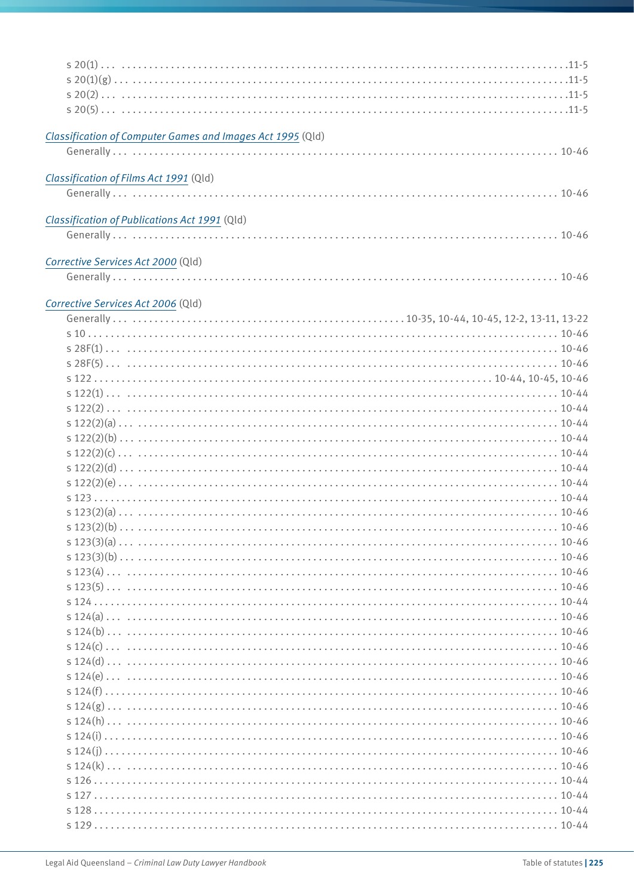| Classification of Computer Games and Images Act 1995 (Qld) |  |
|------------------------------------------------------------|--|
|                                                            |  |
|                                                            |  |
| Classification of Films Act 1991 (Qld)                     |  |
|                                                            |  |
|                                                            |  |
| Classification of Publications Act 1991 (Qld)              |  |
|                                                            |  |
| Corrective Services Act 2000 (Qld)                         |  |
|                                                            |  |
|                                                            |  |
| Corrective Services Act 2006 (Qld)                         |  |
|                                                            |  |
|                                                            |  |
|                                                            |  |
|                                                            |  |
|                                                            |  |
|                                                            |  |
|                                                            |  |
|                                                            |  |
|                                                            |  |
|                                                            |  |
|                                                            |  |
|                                                            |  |
|                                                            |  |
|                                                            |  |
|                                                            |  |
|                                                            |  |
|                                                            |  |
|                                                            |  |
|                                                            |  |
|                                                            |  |
|                                                            |  |
|                                                            |  |
|                                                            |  |
|                                                            |  |
|                                                            |  |
|                                                            |  |
|                                                            |  |
|                                                            |  |
|                                                            |  |
|                                                            |  |
|                                                            |  |
|                                                            |  |
|                                                            |  |
|                                                            |  |
|                                                            |  |
|                                                            |  |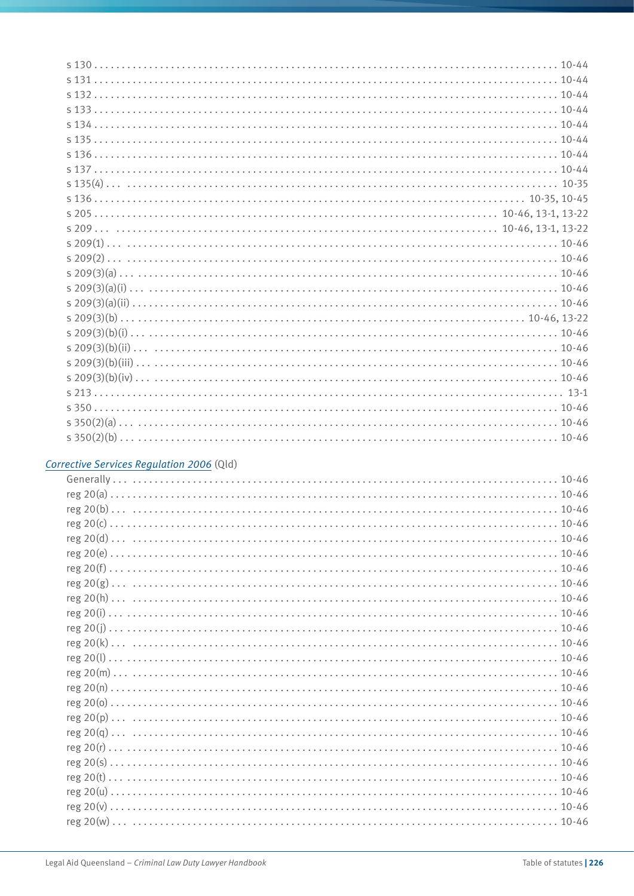#### *[Corrective Services Regulation 2006](http://www.legislation.qld.gov.au/LEGISLTN/CURRENT/C/CorServR06.pdf)* (Qld)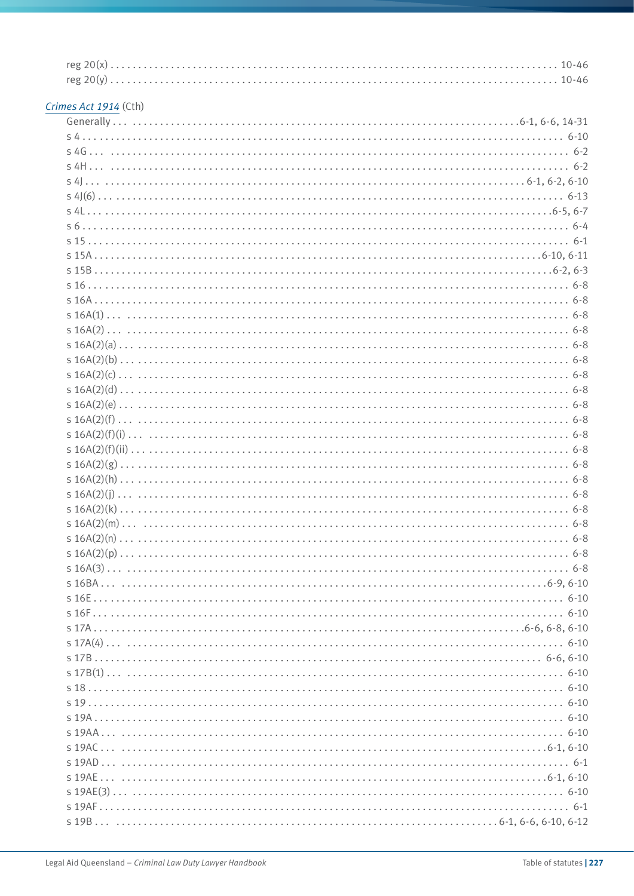# *[Crimes Act 1914](http://www.comlaw.gov.au/Current/C2012C00416)* (Cth)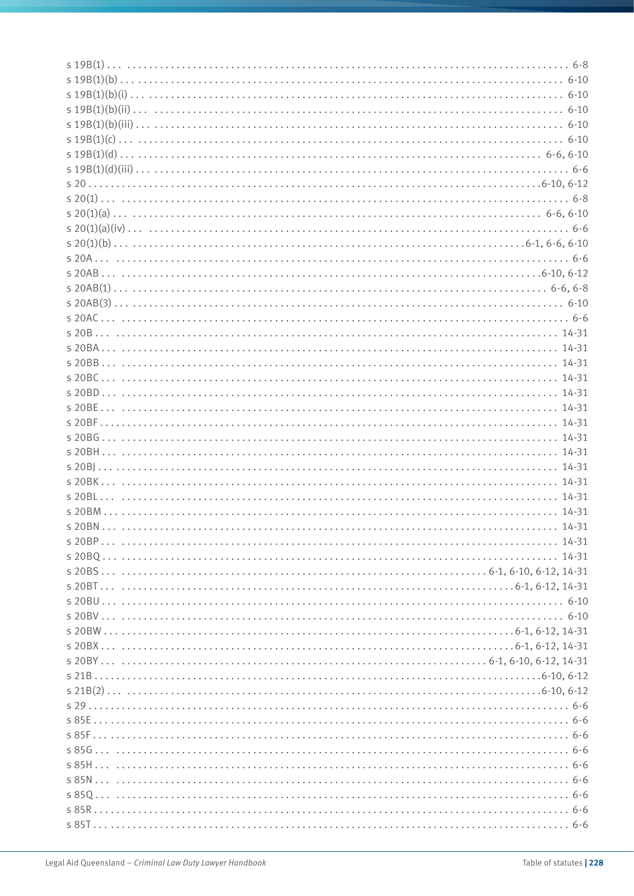| s20BM |  |
|-------|--|
|       |  |
|       |  |
|       |  |
|       |  |
|       |  |
|       |  |
|       |  |
|       |  |
|       |  |
|       |  |
|       |  |
|       |  |
|       |  |
|       |  |
|       |  |
|       |  |
|       |  |
|       |  |
|       |  |
|       |  |
|       |  |
|       |  |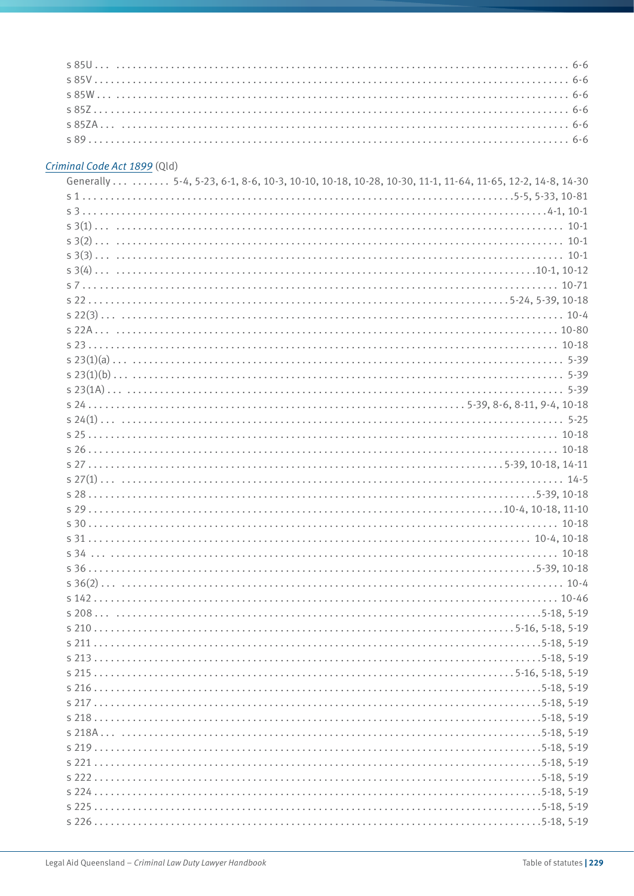#### *[Criminal Code Act 1899](http://www.legislation.qld.gov.au/LEGISLTN/CURRENT/C/CriminCode.pdf)* (Qld)

| Generally 5-4, 5-23, 6-1, 8-6, 10-3, 10-10, 10-18, 10-28, 10-30, 11-1, 11-64, 11-65, 12-2, 14-8, 14-30 |
|--------------------------------------------------------------------------------------------------------|
|                                                                                                        |
|                                                                                                        |
|                                                                                                        |
|                                                                                                        |
|                                                                                                        |
|                                                                                                        |
|                                                                                                        |
|                                                                                                        |
|                                                                                                        |
|                                                                                                        |
|                                                                                                        |
|                                                                                                        |
|                                                                                                        |
|                                                                                                        |
|                                                                                                        |
|                                                                                                        |
|                                                                                                        |
|                                                                                                        |
| $5.275-39.10-18.14-11$                                                                                 |
|                                                                                                        |
|                                                                                                        |
|                                                                                                        |
|                                                                                                        |
|                                                                                                        |
|                                                                                                        |
|                                                                                                        |
|                                                                                                        |
|                                                                                                        |
|                                                                                                        |
|                                                                                                        |
|                                                                                                        |
|                                                                                                        |
|                                                                                                        |
|                                                                                                        |
|                                                                                                        |
|                                                                                                        |
|                                                                                                        |
|                                                                                                        |
|                                                                                                        |
|                                                                                                        |
|                                                                                                        |
|                                                                                                        |
|                                                                                                        |
|                                                                                                        |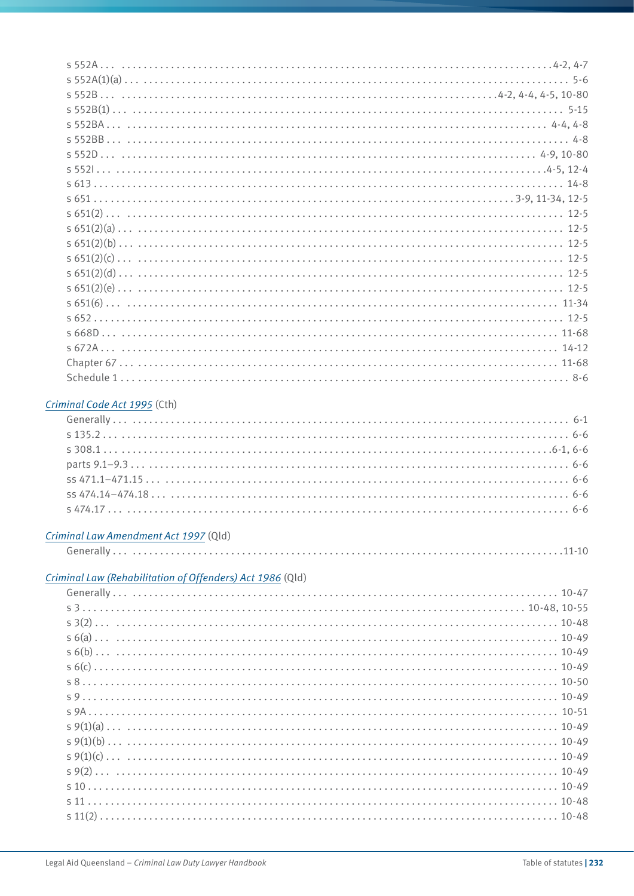#### *[Criminal Code Act 1995](http://www.comlaw.gov.au/Current/C2012C00547)* (Cth)

#### *[Criminal Law Amendment Act 1997](http://www.legislation.qld.gov.au/legisltn/acts/1997/97ac003.pdf)* (Qld)

#### *[Criminal Law \(Rehabilitation of Offenders\) Act 1986](http://www.legislation.qld.gov.au/LEGISLTN/CURRENT/C/CriminLwRehA86.pdf)* (Qld)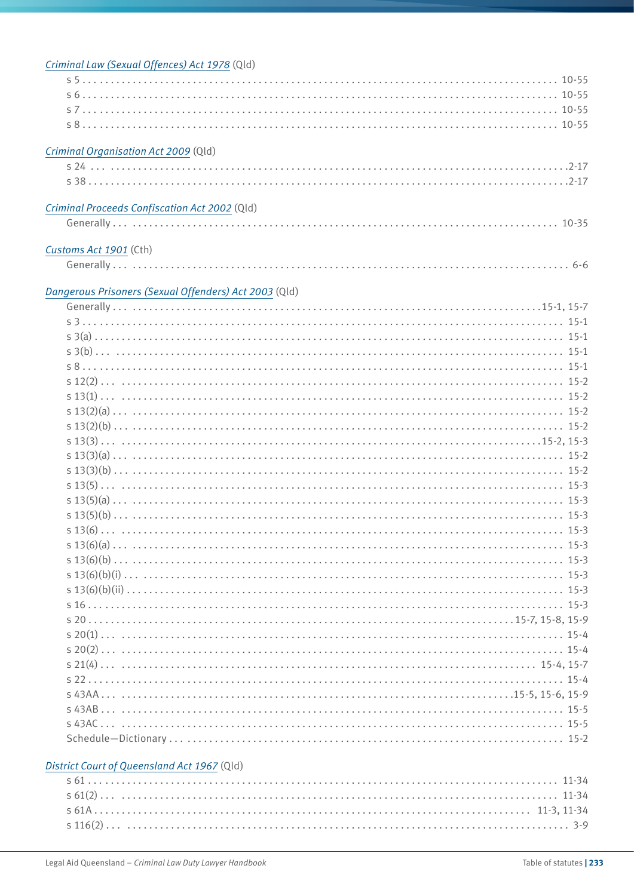| Criminal Law (Sexual Offences) Act 1978 (Qld)         |
|-------------------------------------------------------|
|                                                       |
|                                                       |
|                                                       |
|                                                       |
|                                                       |
| Criminal Organisation Act 2009 (Qld)                  |
|                                                       |
|                                                       |
|                                                       |
|                                                       |
| Criminal Proceeds Confiscation Act 2002 (Qld)         |
|                                                       |
|                                                       |
| Customs Act 1901 (Cth)                                |
|                                                       |
|                                                       |
| Dangerous Prisoners (Sexual Offenders) Act 2003 (Qld) |
|                                                       |
|                                                       |
|                                                       |
|                                                       |
|                                                       |
|                                                       |
|                                                       |
|                                                       |
|                                                       |
|                                                       |
|                                                       |
|                                                       |
|                                                       |
|                                                       |
|                                                       |
|                                                       |
|                                                       |
|                                                       |
|                                                       |
|                                                       |
|                                                       |
|                                                       |
|                                                       |
|                                                       |
|                                                       |
|                                                       |
|                                                       |
|                                                       |
|                                                       |
|                                                       |
|                                                       |
|                                                       |
|                                                       |
|                                                       |
| District Court of Queensland Act 1967 (Qld)           |
|                                                       |
|                                                       |
|                                                       |
|                                                       |
|                                                       |
|                                                       |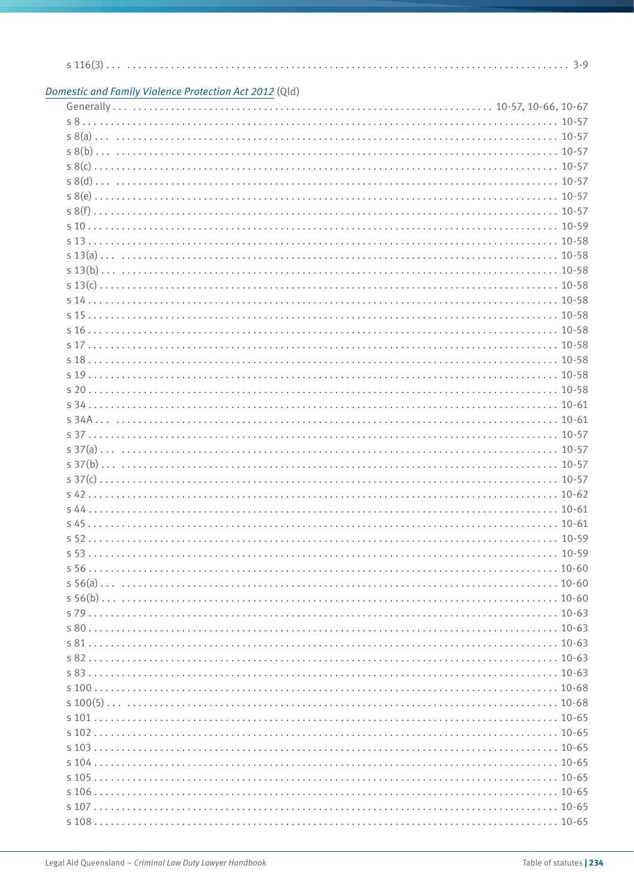| Domestic and Family Violence Protection Act 2012 (Qld) |  |
|--------------------------------------------------------|--|
|                                                        |  |
|                                                        |  |
|                                                        |  |
|                                                        |  |
|                                                        |  |
|                                                        |  |
|                                                        |  |
|                                                        |  |
|                                                        |  |
|                                                        |  |
|                                                        |  |
|                                                        |  |
|                                                        |  |
|                                                        |  |
|                                                        |  |
|                                                        |  |
|                                                        |  |
|                                                        |  |
|                                                        |  |
|                                                        |  |
|                                                        |  |
|                                                        |  |
|                                                        |  |
|                                                        |  |
|                                                        |  |
|                                                        |  |
|                                                        |  |
|                                                        |  |
|                                                        |  |
|                                                        |  |
|                                                        |  |
|                                                        |  |
|                                                        |  |
|                                                        |  |
|                                                        |  |
|                                                        |  |
|                                                        |  |
|                                                        |  |
|                                                        |  |
|                                                        |  |
|                                                        |  |
|                                                        |  |
|                                                        |  |
|                                                        |  |
|                                                        |  |
|                                                        |  |
|                                                        |  |
|                                                        |  |
|                                                        |  |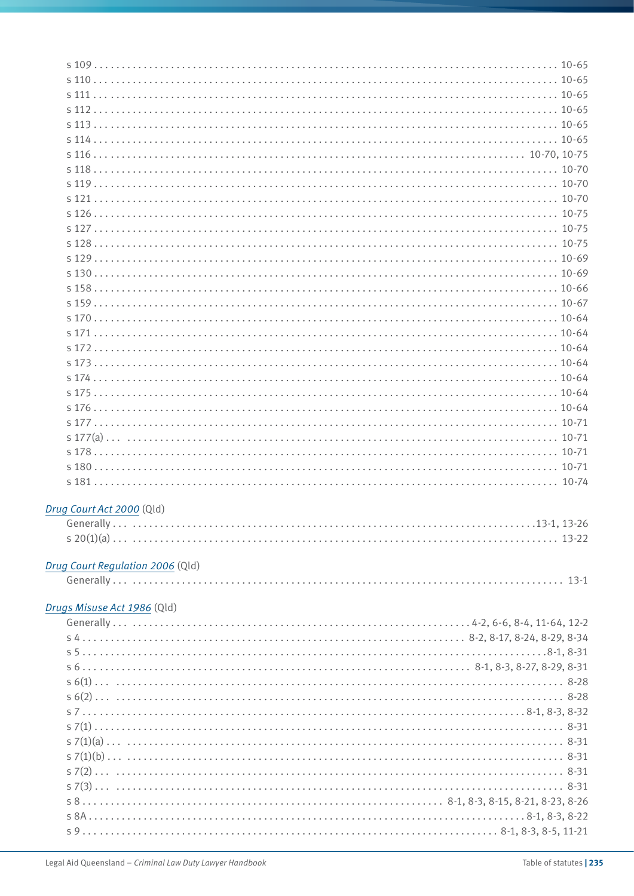| s130                             |  |
|----------------------------------|--|
|                                  |  |
|                                  |  |
|                                  |  |
|                                  |  |
|                                  |  |
|                                  |  |
|                                  |  |
|                                  |  |
|                                  |  |
|                                  |  |
|                                  |  |
|                                  |  |
|                                  |  |
|                                  |  |
|                                  |  |
|                                  |  |
| Drug Court Act 2000 (Qld)        |  |
|                                  |  |
|                                  |  |
|                                  |  |
| Drug Court Regulation 2006 (Qld) |  |
|                                  |  |
|                                  |  |
| Drugs Misuse Act 1986 (Qld)      |  |
|                                  |  |
|                                  |  |
|                                  |  |
|                                  |  |
|                                  |  |
|                                  |  |
|                                  |  |
|                                  |  |
|                                  |  |
|                                  |  |
|                                  |  |
|                                  |  |
|                                  |  |
|                                  |  |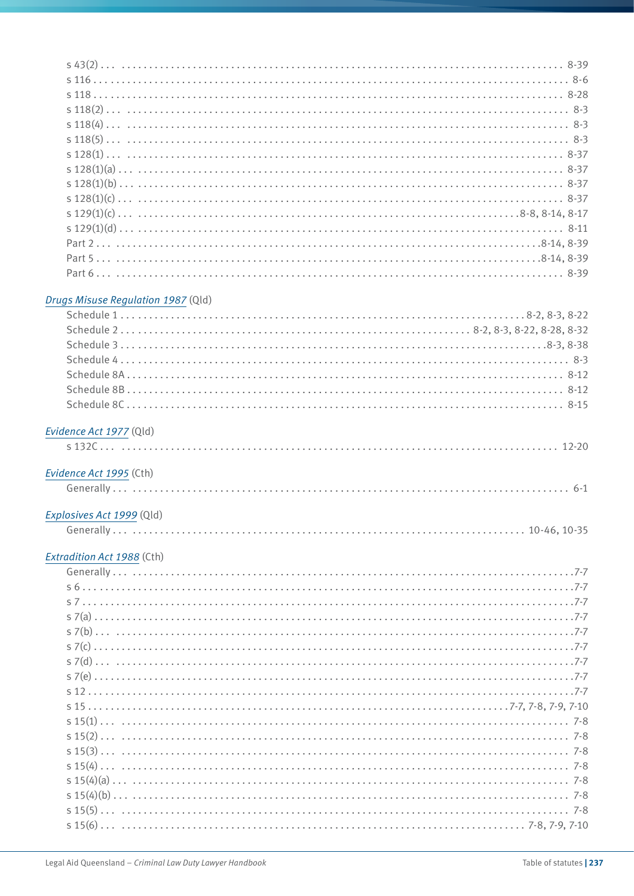#### *[Drugs Misuse Regulation 1987](http://www.legislation.qld.gov.au/LEGISLTN/CURRENT/D/DrugsMisuseR87.pdf)* (Qld)

| Evidence Act 1977 (Qld) |  |
|-------------------------|--|

#### *[Evidence Act 1995](http://www.comlaw.gov.au/Current/C2012C00518)* (Cth)

|--|

#### *[Explosives Act 1999](http://www.legislation.qld.gov.au/LEGISLTN/CURRENT/E/ExplosivesA99.pdf)* (Qld)

|--|--|--|

# *[Extradition Act 1988](http://www.comlaw.gov.au/Current/C2012C00497)* (Cth)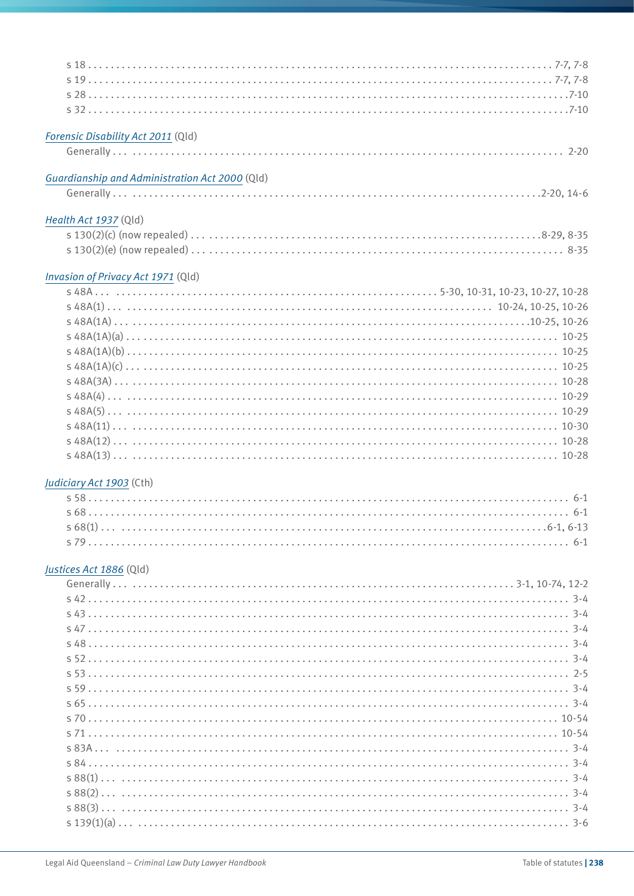| Forensic Disability Act 2011 (Qld)             |  |
|------------------------------------------------|--|
|                                                |  |
| Guardianship and Administration Act 2000 (Qld) |  |
|                                                |  |
| Health Act 1937 (Qld)                          |  |
|                                                |  |
|                                                |  |
| Invasion of Privacy Act 1971 (Qld)             |  |
|                                                |  |
|                                                |  |
|                                                |  |
|                                                |  |
|                                                |  |
|                                                |  |
|                                                |  |

s 48A(3A) . . . . . 10-28 s 48A(4) . . . . . 10-29 s 48A(5) . . . . . 10-29 s 48A(11) . . . . . 10-30 s 48A(12) . . . . . 10-28 s 48A(13) . . . . . 10-28

s 58 . . . . . 6-1 s 68 . . . . . 6-1 s 68(1) . . . . 6-1, 6-13 s 79 . . . . . 6-1

Generally . . . . . 3-1, 10-74, 12-2 s 42 . . . . . 3-4 s 43 . . . . . 3-4 s 47 . . . . . 3-4 s 48 . . . . . 3-4 s 52 . . . . . 3-4 s 53 . . . . . 2-5 s 59 . . . . . 3-4 s 65 . . . . . 3-4 s 70 . . . . . 10-54 s 71 . . . . . 10-54 s 83A . . . . . 3-4 s 84 . . . . . 3-4 s 88(1) . . . . . 3-4 s 88(2) . . . . . 3-4 s 88(3) . . . . . 3-4 s 139(1)(a) . . . . . 3-6

*[Judiciary Act 1903](http://www.comlaw.gov.au/Current/C2012C00176)* (Cth)

*[Justices Act 1886](http://www.legislation.qld.gov.au/LEGISLTN/CURRENT/J/JusticeA1886.pdf)* (Qld)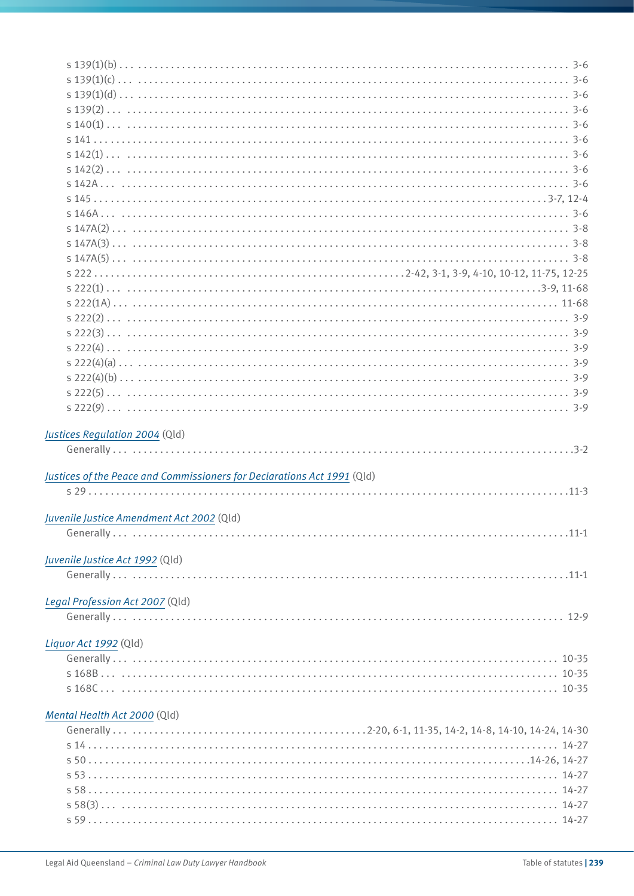| Justices Regulation 2004 (Qld)                                          |
|-------------------------------------------------------------------------|
|                                                                         |
|                                                                         |
|                                                                         |
| Justices of the Peace and Commissioners for Declarations Act 1991 (Qld) |
|                                                                         |
|                                                                         |
| Juvenile Justice Amendment Act 2002 (Qld)<br>$11-1$                     |
|                                                                         |
| Juvenile Justice Act 1992 (Qld)                                         |
|                                                                         |
|                                                                         |
| Legal Profession Act 2007 (Qld)                                         |
|                                                                         |
|                                                                         |
| Liquor Act 1992 (Qld)                                                   |
|                                                                         |
|                                                                         |
|                                                                         |
|                                                                         |
| Mental Health Act 2000 (Qld)                                            |
|                                                                         |
|                                                                         |
|                                                                         |
|                                                                         |
|                                                                         |
|                                                                         |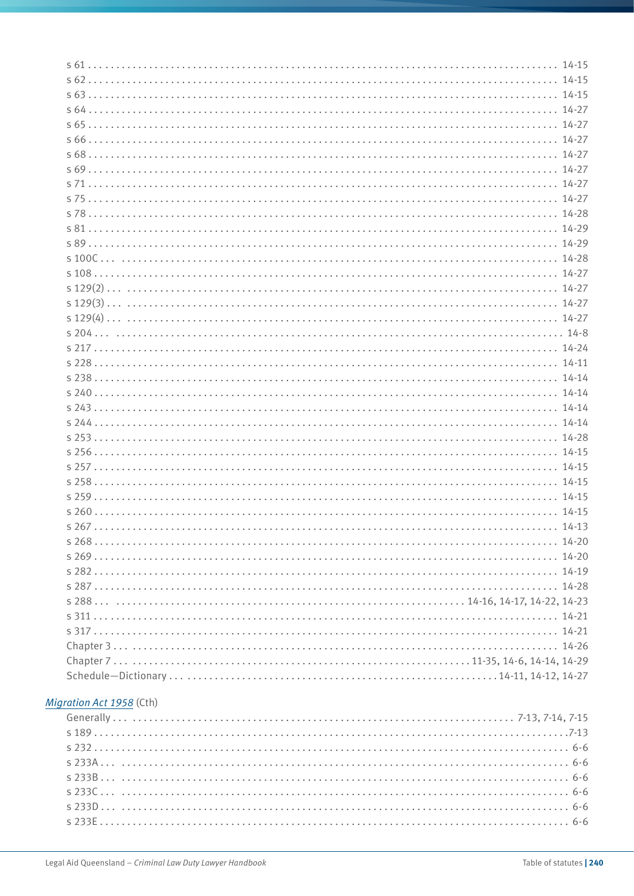# *[Migration Act 1958](http://www.comlaw.gov.au/Current/C2012C00331)* (Cth)

| s189 |  |
|------|--|
|      |  |
|      |  |
|      |  |
|      |  |
|      |  |
|      |  |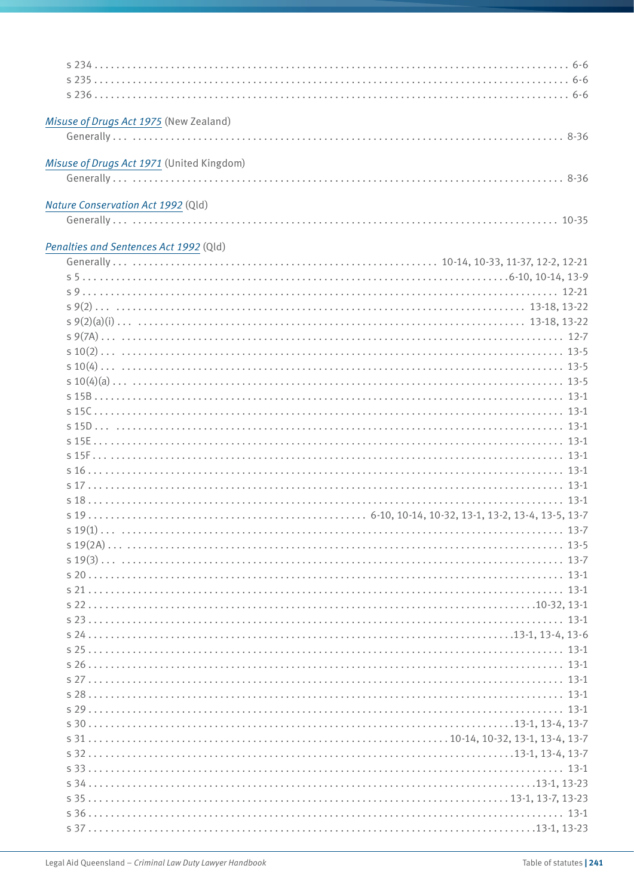| Misuse of Drugs Act 1975 (New Zealand)    |        |
|-------------------------------------------|--------|
|                                           |        |
|                                           |        |
| Misuse of Drugs Act 1971 (United Kingdom) |        |
|                                           |        |
|                                           |        |
| Nature Conservation Act 1992 (Qld)        |        |
|                                           |        |
| Penalties and Sentences Act 1992 (Qld)    |        |
|                                           |        |
|                                           |        |
|                                           |        |
|                                           |        |
|                                           |        |
|                                           |        |
|                                           |        |
|                                           |        |
|                                           |        |
|                                           |        |
|                                           |        |
|                                           |        |
|                                           |        |
|                                           |        |
|                                           |        |
|                                           |        |
|                                           |        |
|                                           |        |
| $519(1)$                                  | $13-7$ |
|                                           |        |
|                                           |        |
|                                           |        |
|                                           |        |
|                                           |        |
|                                           |        |
|                                           |        |
|                                           |        |
|                                           |        |
|                                           |        |
|                                           |        |
|                                           |        |
|                                           |        |
|                                           |        |
|                                           |        |
|                                           |        |
|                                           |        |
|                                           |        |
|                                           |        |
|                                           |        |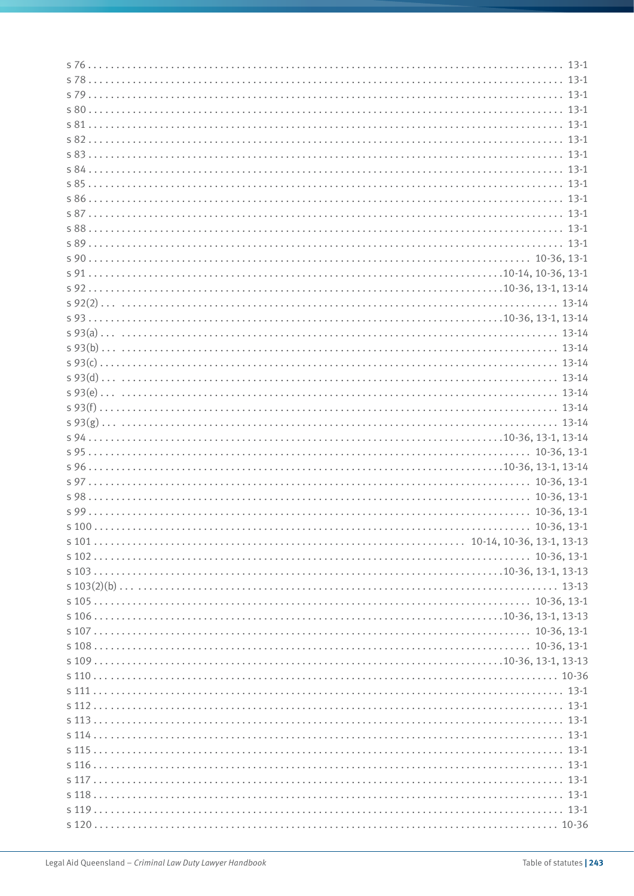| s120 |
|------|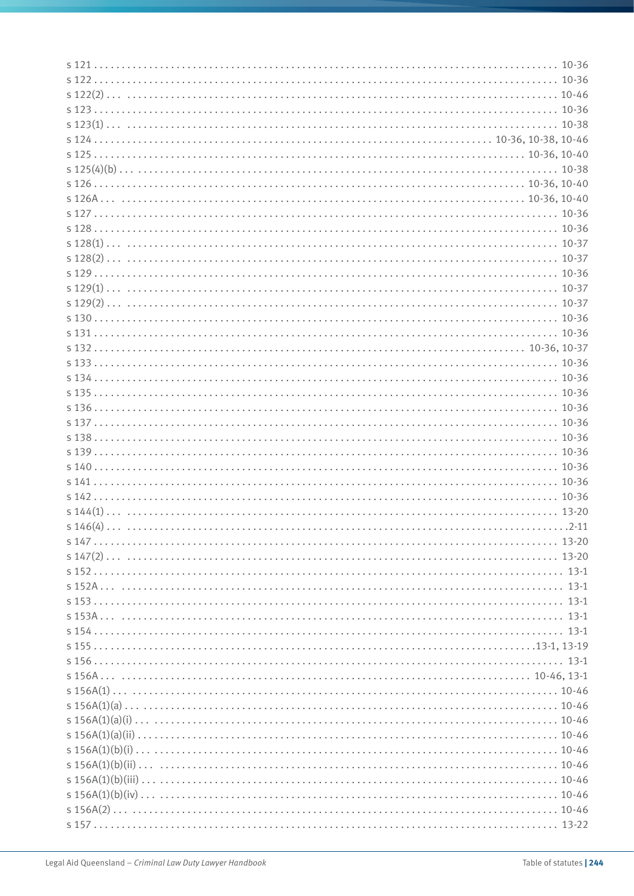| 5121 |  |
|------|--|
|      |  |
|      |  |
|      |  |
|      |  |
|      |  |
|      |  |
|      |  |
|      |  |
|      |  |
|      |  |
|      |  |
|      |  |
|      |  |
|      |  |
|      |  |
|      |  |
|      |  |
|      |  |
|      |  |
|      |  |
|      |  |
|      |  |
|      |  |
|      |  |
|      |  |
|      |  |
|      |  |
|      |  |
|      |  |
|      |  |
|      |  |
|      |  |
|      |  |
|      |  |
|      |  |
|      |  |
|      |  |
|      |  |
|      |  |
|      |  |
|      |  |
|      |  |
|      |  |
|      |  |
|      |  |
|      |  |
|      |  |
|      |  |
|      |  |
|      |  |
|      |  |
|      |  |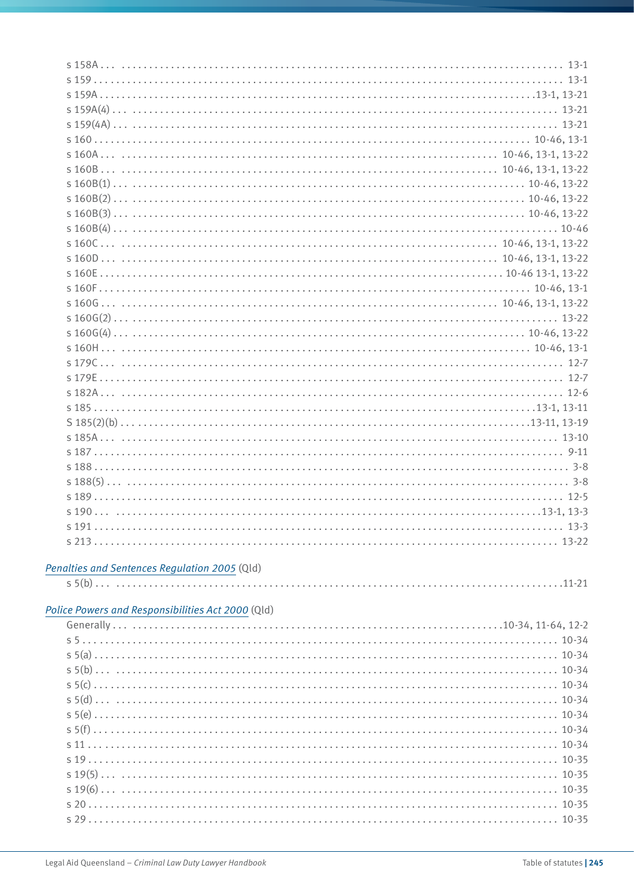| $s160F$ 10-46, 13-1                           |  |
|-----------------------------------------------|--|
|                                               |  |
|                                               |  |
|                                               |  |
|                                               |  |
|                                               |  |
|                                               |  |
|                                               |  |
|                                               |  |
|                                               |  |
|                                               |  |
| 5187                                          |  |
|                                               |  |
|                                               |  |
|                                               |  |
|                                               |  |
|                                               |  |
|                                               |  |
|                                               |  |
| Penalties and Sentences Regulation 2005 (Qld) |  |
|                                               |  |

#### *[Police Powers and Responsibilities Act 2000](http://www.legislation.qld.gov.au/LEGISLTN/CURRENT/P/PolicePowResA00.pdf)* (Qld)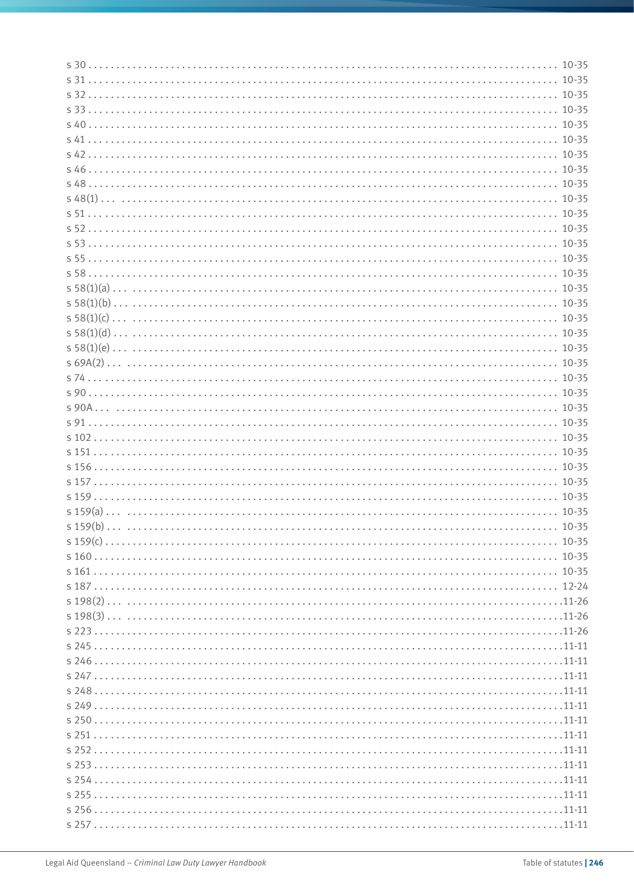| s30 |  |
|-----|--|
|     |  |
|     |  |
|     |  |
|     |  |
|     |  |
|     |  |
|     |  |
|     |  |
|     |  |
|     |  |
|     |  |
|     |  |
|     |  |
|     |  |
|     |  |
|     |  |
|     |  |
|     |  |
|     |  |
|     |  |
|     |  |
|     |  |
|     |  |
|     |  |
|     |  |
|     |  |
|     |  |
|     |  |
|     |  |
|     |  |
|     |  |
|     |  |
|     |  |
|     |  |
|     |  |
|     |  |
|     |  |
|     |  |
|     |  |
|     |  |
|     |  |
|     |  |
|     |  |
|     |  |
|     |  |
|     |  |
|     |  |
|     |  |
|     |  |
|     |  |
|     |  |
|     |  |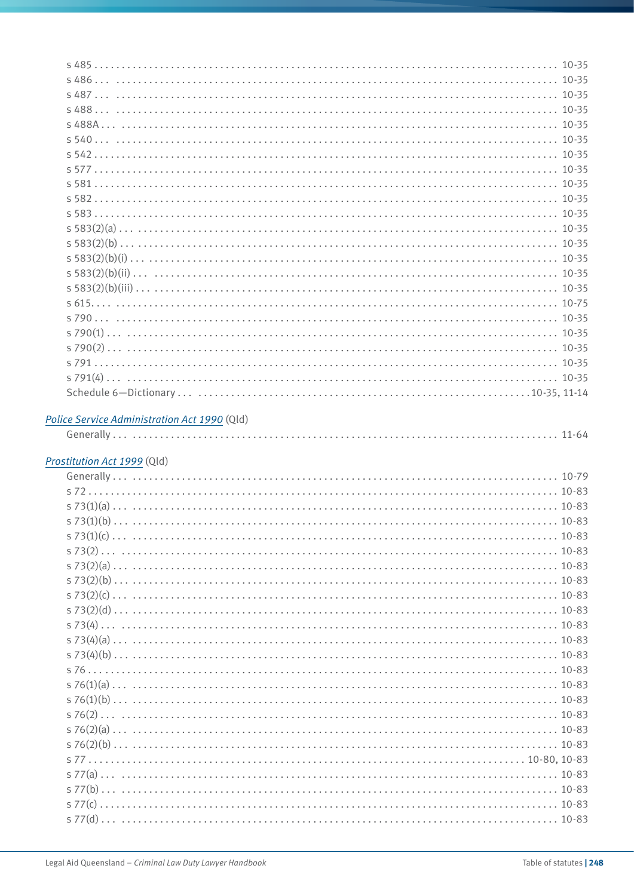# *[Police Service Administration Act 1990](http://www.legislation.qld.gov.au/LEGISLTN/CURRENT/P/PoliceServAdA90.pdf)* (Qld)

|--|--|--|

#### *[Prostitution Act 1999](http://www.legislation.qld.gov.au/LEGISLTN/CURRENT/P/ProstitutA99.pdf)* (Qld)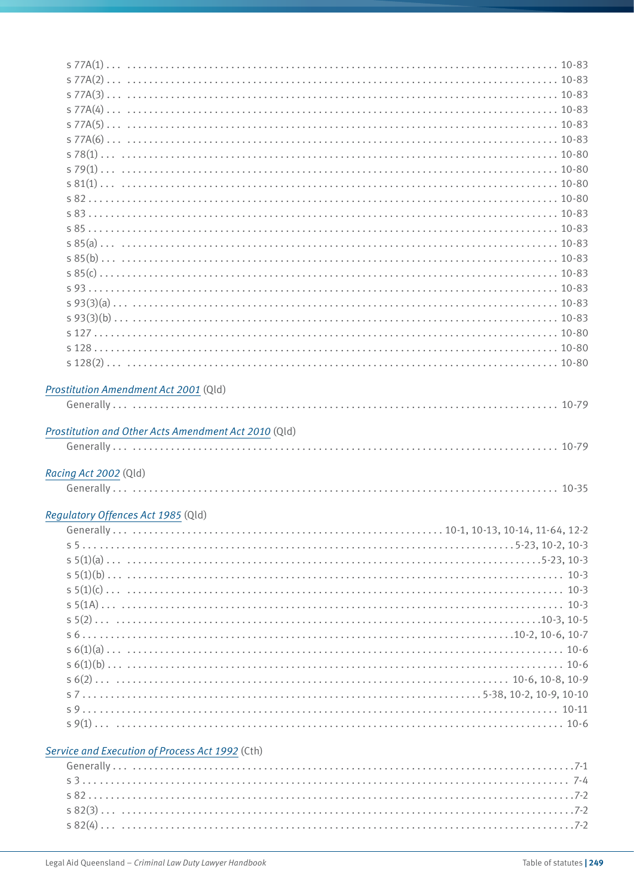| Prostitution Amendment Act 2001 (Qld)                |                                               |
|------------------------------------------------------|-----------------------------------------------|
|                                                      |                                               |
|                                                      |                                               |
| Prostitution and Other Acts Amendment Act 2010 (Qld) |                                               |
|                                                      |                                               |
|                                                      |                                               |
|                                                      |                                               |
|                                                      |                                               |
| Racing Act 2002 (Qld)                                |                                               |
|                                                      |                                               |
| Regulatory Offences Act 1985 (Qld)<br>Generally.     | $10-1$ , $10-13$ , $10-14$ , $11-64$ , $12-2$ |
|                                                      |                                               |
|                                                      |                                               |
|                                                      |                                               |
|                                                      |                                               |
|                                                      |                                               |
|                                                      |                                               |
|                                                      |                                               |
|                                                      |                                               |
|                                                      |                                               |
|                                                      |                                               |
|                                                      |                                               |
|                                                      |                                               |
|                                                      |                                               |
|                                                      |                                               |
| Service and Execution of Process Act 1992 (Cth)      |                                               |
|                                                      |                                               |
|                                                      |                                               |
|                                                      |                                               |
|                                                      |                                               |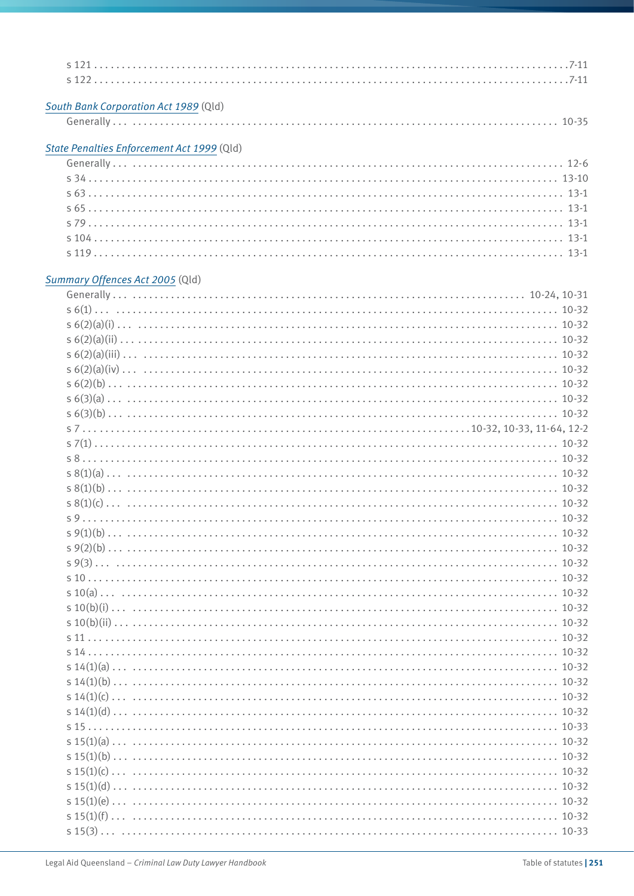#### *[South Bank Corporation Act 1989](http://www.legislation.qld.gov.au/LEGISLTN/CURRENT/S/SouthBnkCorA89.pdf)* (Qld)

|--|--|--|

#### *[State Penalties Enforcement Act 1999](http://www.legislation.qld.gov.au/LEGISLTN/CURRENT/S/StatePenEnfA99.pdf)* (Qld)

| s104 |  |
|------|--|
|      |  |

#### *[Summary Offences Act 2005](http://www.legislation.qld.gov.au/LEGISLTN/CURRENT/S/SumOffA05.pdf)* (Qld)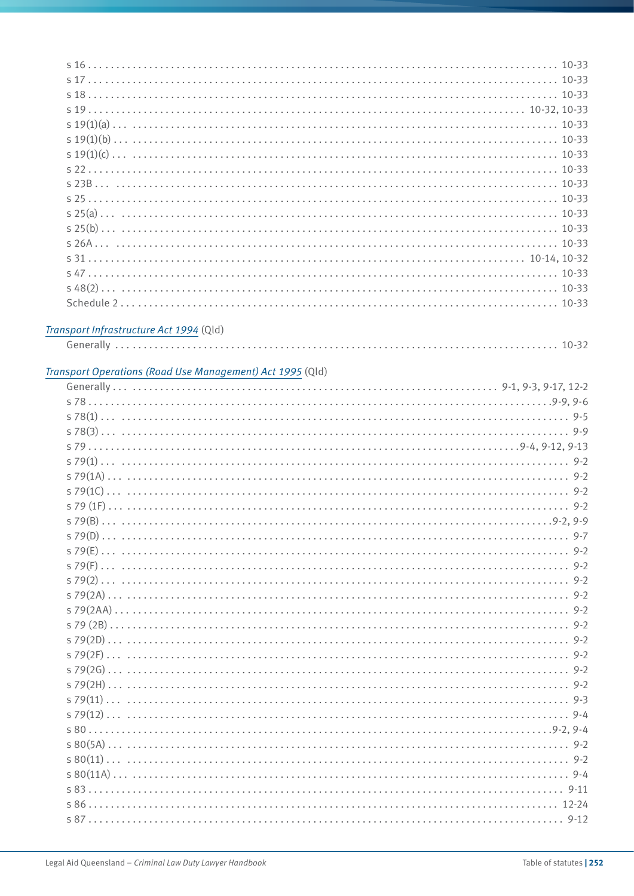#### *[Transport Infrastructure Act 1994](http://www.legislation.qld.gov.au/LEGISLTN/CURRENT/T/TranstInfA94.pdf)* (Qld)

|--|--|

# *[Transport Operations \(Road Use Management\) Act 1995](http://www.legislation.qld.gov.au/LEGISLTN/CURRENT/T/TrantOpRUA95.pdf)* (Qld)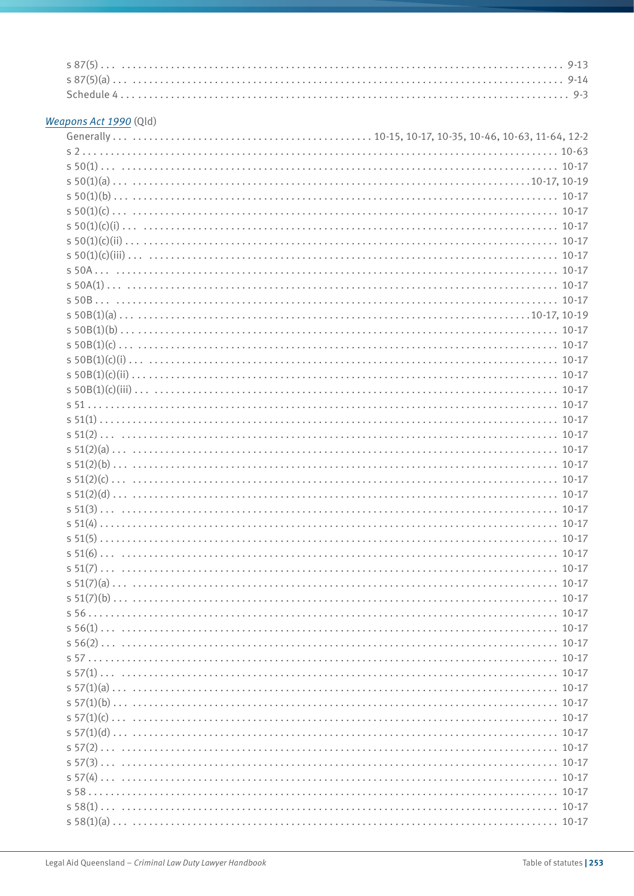#### *[Weapons Act 1990](http://www.legislation.qld.gov.au/LEGISLTN/CURRENT/W/WeaponsA90.pdf)* (Qld)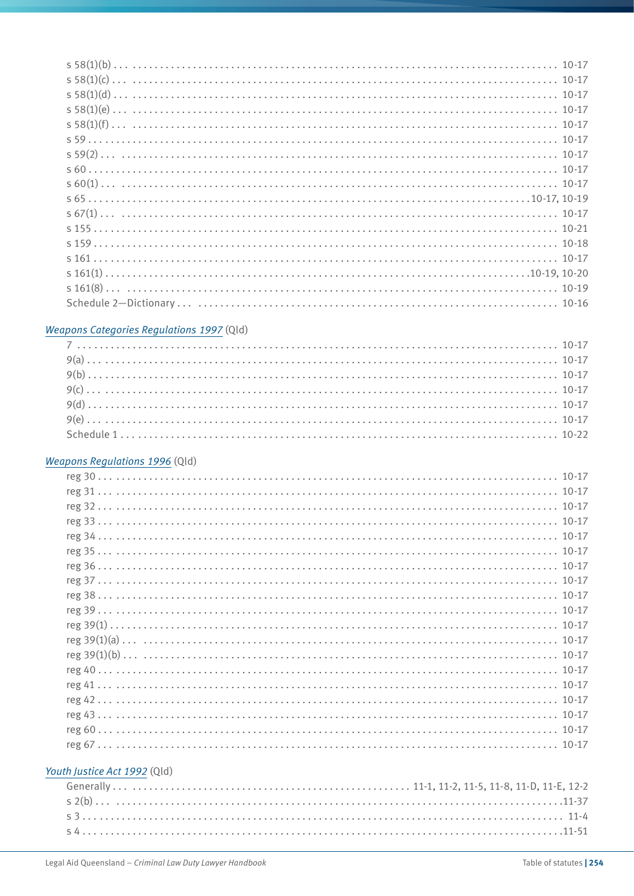| s155 |
|------|
|      |
|      |
|      |
|      |
|      |

#### *[Weapons Categories Regulations 1997](http://www.legislation.qld.gov.au/LEGISLTN/CURRENT/W/WeaponsCatR97.pdf)* (Qld)

#### *[Weapons Regulations 1996](http://www.legislation.qld.gov.au/LEGISLTN/CURRENT/W/WeaponsR96.pdf)* (Qld)

#### *[Youth Justice Act 1992](http://www.legislation.qld.gov.au/LEGISLTN/CURRENT/Y/YouthJustA92.pdf)* (Qld)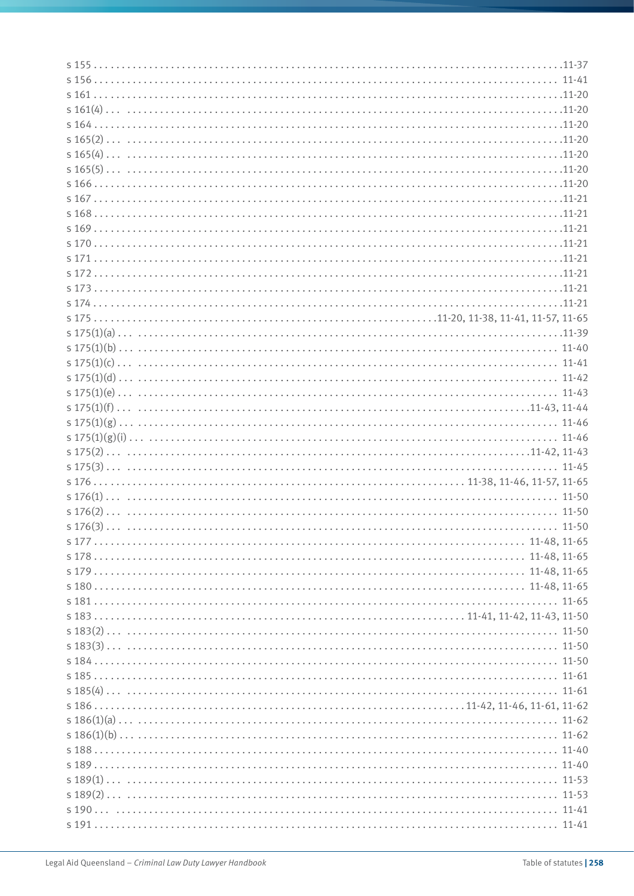| $s\ 176$ 11-46, 11-57, 11-65 |  |
|------------------------------|--|
|                              |  |
|                              |  |
|                              |  |
|                              |  |
|                              |  |
|                              |  |
|                              |  |
| $s180$ 11-48, 11-65          |  |
|                              |  |
|                              |  |
|                              |  |
|                              |  |
|                              |  |
|                              |  |
|                              |  |
|                              |  |
|                              |  |
|                              |  |
|                              |  |
|                              |  |
|                              |  |
|                              |  |
|                              |  |
|                              |  |
|                              |  |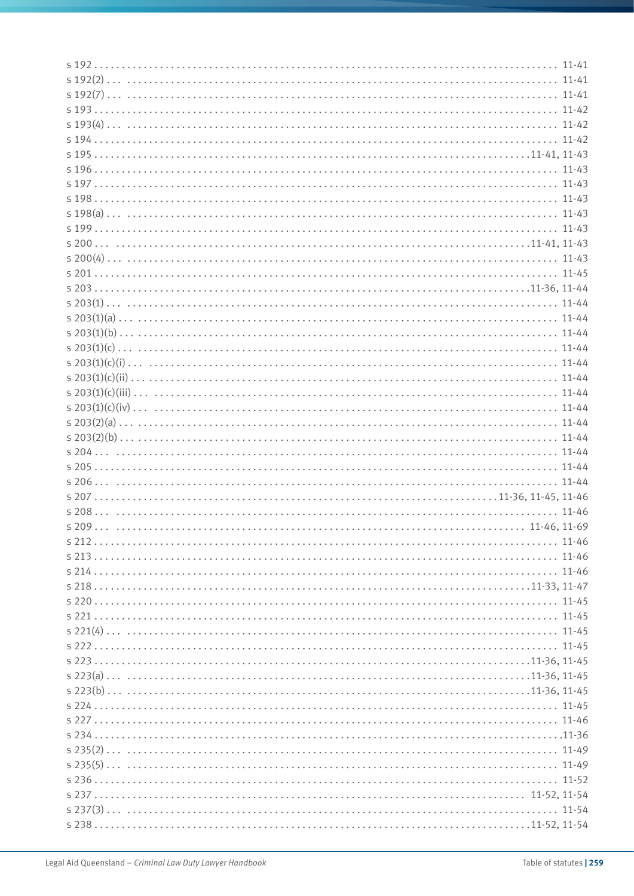| s194 |  |
|------|--|
|      |  |
|      |  |
| s197 |  |
|      |  |
|      |  |
|      |  |
|      |  |
|      |  |
|      |  |
|      |  |
|      |  |
|      |  |
|      |  |
|      |  |
|      |  |
|      |  |
|      |  |
|      |  |
|      |  |
|      |  |
|      |  |
|      |  |
|      |  |
|      |  |
|      |  |
|      |  |
|      |  |
|      |  |
|      |  |
|      |  |
|      |  |
|      |  |
|      |  |
|      |  |
|      |  |
|      |  |
|      |  |
|      |  |
|      |  |
|      |  |
|      |  |
|      |  |
|      |  |
|      |  |
|      |  |
|      |  |
|      |  |